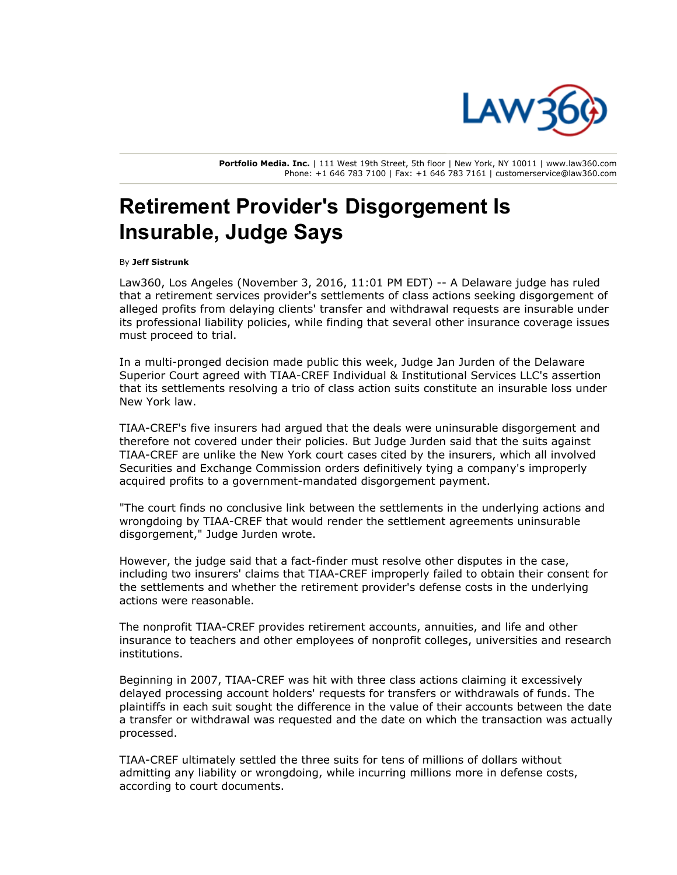

**Portfolio Media. Inc.** | 111 West 19th Street, 5th floor | New York, NY 10011 | www.law360.com Phone: +1 646 783 7100 | Fax: +1 646 783 7161 | customerservice@law360.com

## **Retirement Provider's Disgorgement Is Insurable, Judge Says**

By **Jeff Sistrunk**

Law360, Los Angeles (November 3, 2016, 11:01 PM EDT) -- A Delaware judge has ruled that a retirement services provider's settlements of class actions seeking disgorgement of alleged profits from delaying clients' transfer and withdrawal requests are insurable under its professional liability policies, while finding that several other insurance coverage issues must proceed to trial.

In a multi-pronged decision made public this week, Judge Jan Jurden of the Delaware Superior Court agreed with TIAA-CREF Individual & Institutional Services LLC's assertion that its settlements resolving a trio of class action suits constitute an insurable loss under New York law.

TIAA-CREF's five insurers had argued that the deals were uninsurable disgorgement and therefore not covered under their policies. But Judge Jurden said that the suits against TIAA-CREF are unlike the New York court cases cited by the insurers, which all involved Securities and Exchange Commission orders definitively tying a company's improperly acquired profits to a government-mandated disgorgement payment.

"The court finds no conclusive link between the settlements in the underlying actions and wrongdoing by TIAA-CREF that would render the settlement agreements uninsurable disgorgement," Judge Jurden wrote.

However, the judge said that a fact-finder must resolve other disputes in the case, including two insurers' claims that TIAA-CREF improperly failed to obtain their consent for the settlements and whether the retirement provider's defense costs in the underlying actions were reasonable.

The nonprofit TIAA-CREF provides retirement accounts, annuities, and life and other insurance to teachers and other employees of nonprofit colleges, universities and research institutions.

Beginning in 2007, TIAA-CREF was hit with three class actions claiming it excessively delayed processing account holders' requests for transfers or withdrawals of funds. The plaintiffs in each suit sought the difference in the value of their accounts between the date a transfer or withdrawal was requested and the date on which the transaction was actually processed.

TIAA-CREF ultimately settled the three suits for tens of millions of dollars without admitting any liability or wrongdoing, while incurring millions more in defense costs, according to court documents.